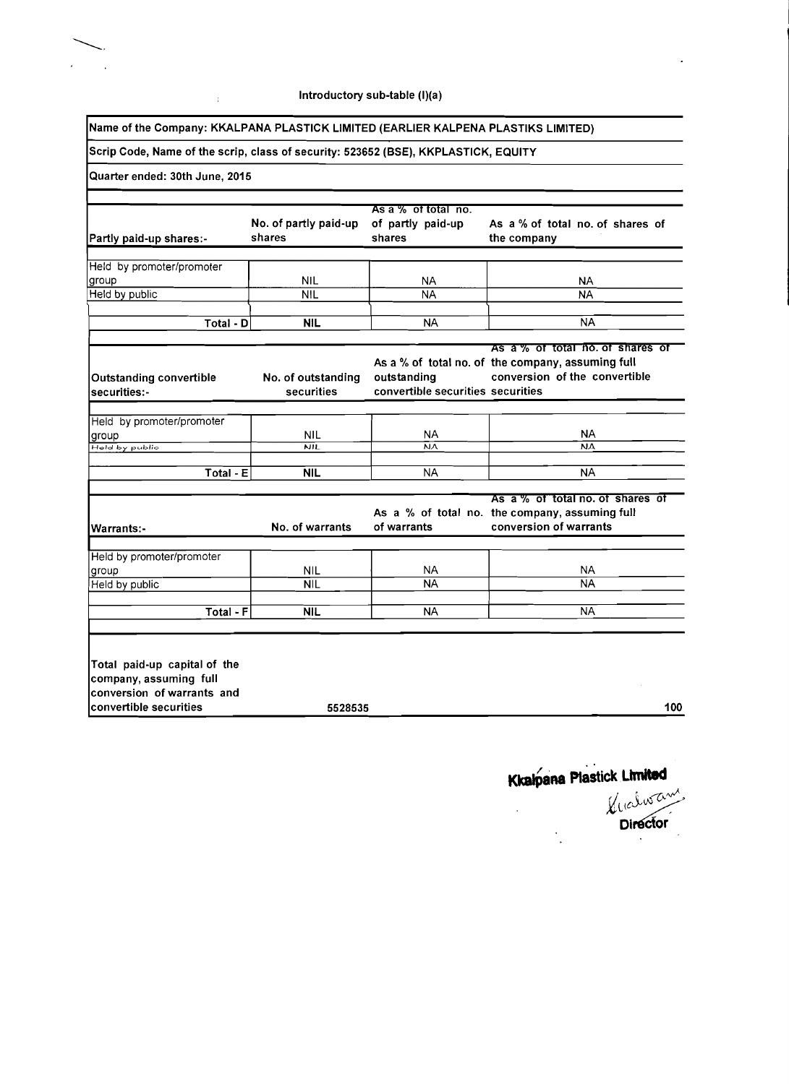## Name of the Company: KKALPANA PLASTICK LIMITED (EARLIER KALPENA PLASTIKS LIMITED)

### Scrip Code, Name of the scrip, class of security: 523652 (BSE), KKPLASTICK, EQUITY

Quarter ended: 30th June, 2015

 $\Delta$ 

| As a % of total no. of shares of<br>the company<br><b>NA</b><br><b>NA</b><br><b>NA</b><br>As a % of total no. of shares of<br>As a % of total no. of the company, assuming full<br>conversion of the convertible<br>convertible securities securities<br><b>NA</b><br><b>NA</b> |
|---------------------------------------------------------------------------------------------------------------------------------------------------------------------------------------------------------------------------------------------------------------------------------|
|                                                                                                                                                                                                                                                                                 |
|                                                                                                                                                                                                                                                                                 |
|                                                                                                                                                                                                                                                                                 |
|                                                                                                                                                                                                                                                                                 |
|                                                                                                                                                                                                                                                                                 |
|                                                                                                                                                                                                                                                                                 |
|                                                                                                                                                                                                                                                                                 |
|                                                                                                                                                                                                                                                                                 |
|                                                                                                                                                                                                                                                                                 |
|                                                                                                                                                                                                                                                                                 |
|                                                                                                                                                                                                                                                                                 |
|                                                                                                                                                                                                                                                                                 |
| <b>NA</b>                                                                                                                                                                                                                                                                       |
| As a % of total no, of shares of                                                                                                                                                                                                                                                |
| As a % of total no. the company, assuming full<br>conversion of warrants                                                                                                                                                                                                        |
|                                                                                                                                                                                                                                                                                 |
|                                                                                                                                                                                                                                                                                 |
| <b>NA</b>                                                                                                                                                                                                                                                                       |
| <b>NA</b>                                                                                                                                                                                                                                                                       |
| <b>NA</b>                                                                                                                                                                                                                                                                       |
|                                                                                                                                                                                                                                                                                 |
|                                                                                                                                                                                                                                                                                 |
|                                                                                                                                                                                                                                                                                 |
|                                                                                                                                                                                                                                                                                 |
|                                                                                                                                                                                                                                                                                 |
| 100                                                                                                                                                                                                                                                                             |
|                                                                                                                                                                                                                                                                                 |

Kkalpana Plastick Limited

 $\ddot{\cdot}$ 

 $\ddot{\phantom{0}}$ 

Luclusant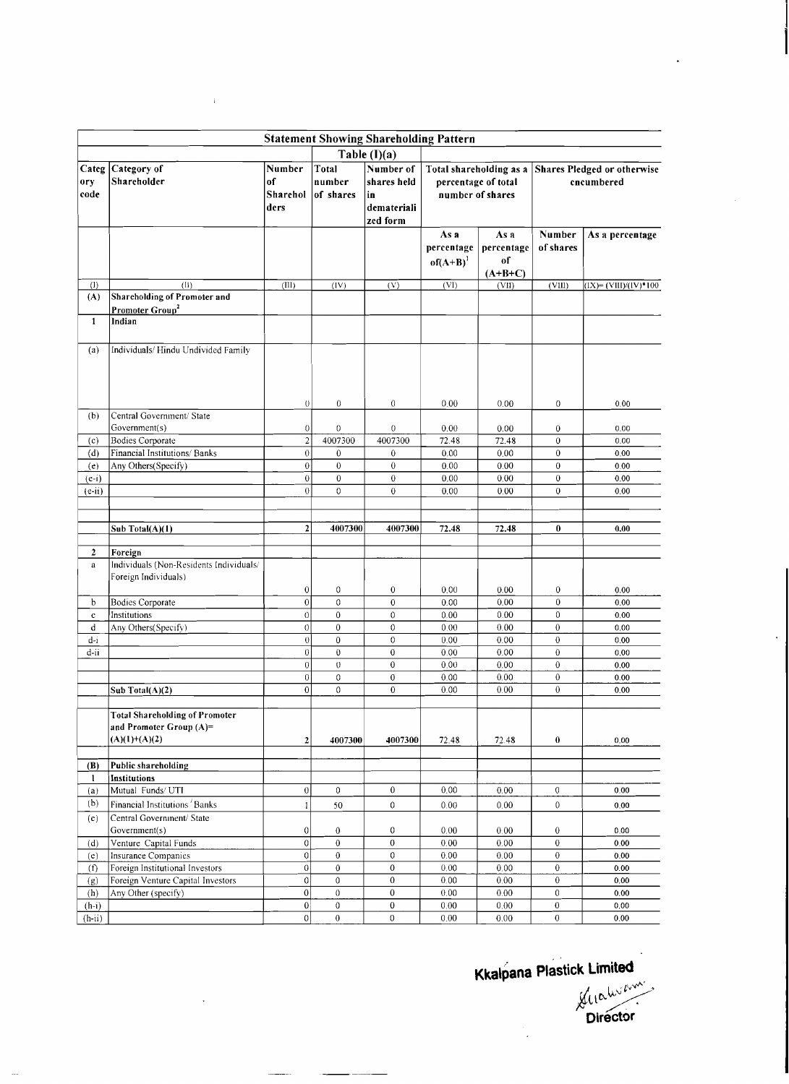|                      | <b>Statement Showing Shareholding Pattern</b>                                          |                                  |                              |                                                           |                                    |                                             |                                                  |                          |
|----------------------|----------------------------------------------------------------------------------------|----------------------------------|------------------------------|-----------------------------------------------------------|------------------------------------|---------------------------------------------|--------------------------------------------------|--------------------------|
|                      |                                                                                        |                                  |                              | Table $(I)(a)$                                            |                                    |                                             |                                                  |                          |
| Categ<br>ory<br>code | Category of<br>Shareholder                                                             | Number<br>of<br>Sharehol<br>ders | Total<br>number<br>of shares | Number of<br>shares held<br>in<br>demateriali<br>zed form | percentage of total                | Total shareholding as a<br>number of shares | <b>Shares Pledged or otherwise</b><br>cncumbered |                          |
|                      |                                                                                        |                                  |                              |                                                           | As a<br>percentage<br>of $(A+B)^1$ | As a<br>percentage<br>of<br>$(A+B+C)$       | Number<br>of shares                              | As a percentage          |
| (1)                  | (11)                                                                                   | (III)                            | (IV)                         | (V)                                                       | (VI)                               | (VII)                                       | (VIII)                                           | $(IX) = (VIII)/(IV)*100$ |
| (A)<br>$\mathbf{1}$  | <b>Shareholding of Promoter and</b><br>Promoter Group <sup>2</sup><br>Indian           |                                  |                              |                                                           |                                    |                                             |                                                  |                          |
| (a)                  | Individuals/Hindu Undivided Family                                                     |                                  |                              |                                                           |                                    |                                             |                                                  |                          |
|                      |                                                                                        | 0                                | 0                            | 0                                                         | 0.00                               | 0.00                                        | $\boldsymbol{0}$                                 | 0.00                     |
| (b)                  | Central Government/ State                                                              |                                  |                              |                                                           |                                    |                                             |                                                  |                          |
| (c)                  | Government(s)<br><b>Bodies Corporate</b>                                               | 0<br>$\overline{c}$              | $\bf{0}$<br>4007300          | 0<br>4007300                                              | 0.00<br>72.48                      | 0.00<br>72.48                               | $\boldsymbol{0}$<br>$\boldsymbol{0}$             | 0.00<br>0.00             |
| (d)                  | Financial Institutions/ Banks                                                          | $\theta$                         | $\mathbf{0}$                 | 0                                                         | 0.00                               | 0.00                                        | $\boldsymbol{0}$                                 | 0,00                     |
| (e)                  | Any Others(Specify)                                                                    | $\mathbf 0$                      | $\mathbf{0}$                 | $\overline{0}$                                            | 0.00                               | 0.00                                        | $\overline{0}$                                   | 0.00                     |
| $(e-i)$              |                                                                                        | $\mathbf 0$                      | $\mathbf{0}$                 | 0                                                         | 0.00                               | 0.00                                        | $\bf{0}$                                         | 0.00                     |
| $(e-ii)$             |                                                                                        | $\theta$                         | $\mathbf{0}$                 | $\mathbf{0}$                                              | 0.00                               | 0.00                                        | $\mathbf{0}$                                     | 0.00                     |
|                      |                                                                                        |                                  |                              |                                                           |                                    |                                             |                                                  |                          |
|                      | Sub Total(A)(1)                                                                        | $\overline{2}$                   | 4007300                      | 4007300                                                   | 72.48                              | 72.48                                       | $\bf{0}$                                         | 0.00                     |
| $\mathbf{2}$         | Foreign                                                                                |                                  |                              |                                                           |                                    |                                             |                                                  |                          |
| $\bf{a}$             | Individuals (Non-Residents Individuals/<br>Foreign Individuals)                        |                                  |                              |                                                           |                                    |                                             |                                                  |                          |
|                      |                                                                                        | 0                                | 0                            | 0                                                         | 0.00                               | 0.00                                        | $\bf{0}$<br>$\bf{0}$                             | 0.00                     |
| b<br>$\mathbf c$     | <b>Bodies Corporate</b><br>Institutions                                                | $\bf{0}$<br>$\theta$             | $\mathbf 0$<br>$\mathbf{0}$  | $\bf{0}$<br>0                                             | 0.00<br>0.00                       | 0,00<br>0.00                                | $\mathbf{0}$                                     | 0.00<br>0.00             |
| $\mathbf d$          | Any Others(Specify)                                                                    | $\theta$                         | $\bf{0}$                     | $\mathbf 0$                                               | 0.00                               | 0.00                                        | $\overline{0}$                                   | 0.00                     |
| d-i                  |                                                                                        | $\theta$                         | $\mathbf 0$                  | 0                                                         | 0.00                               | 0.00                                        | $\boldsymbol{0}$                                 | 0.00                     |
| d-ii                 |                                                                                        | $\theta$                         | $\theta$                     | $\boldsymbol{0}$                                          | 0.00                               | 0.00                                        | $\overline{0}$                                   | 0.00                     |
|                      |                                                                                        | $\theta$                         | $\theta$                     | $\boldsymbol{0}$                                          | 0.00                               | 0.00                                        | $\mathbf 0$                                      | 0.00                     |
|                      |                                                                                        | $\theta$                         | $\boldsymbol{0}$             | $\boldsymbol{0}$                                          | 0.00                               | 0.00                                        | $\bf{0}$                                         | 0.00                     |
|                      | Sub Total(A)(2)                                                                        | $\mathbf{0}$                     | $\mathbf{0}$                 | 0                                                         | 0.00                               | 0.00                                        | $\overline{0}$                                   | 0.00                     |
|                      | <b>Total Shareholding of Promoter</b><br>and Promoter Group $(A)$ =<br>$(A)(1)+(A)(2)$ | 2                                | 4007300                      | 4007300                                                   | 72.48                              | 72.48                                       | $\pmb{0}$                                        | 0.00                     |
|                      |                                                                                        |                                  |                              |                                                           |                                    |                                             |                                                  |                          |
| (B)                  | Public shareholding                                                                    |                                  |                              |                                                           |                                    |                                             |                                                  |                          |
| 1                    | Institutions                                                                           |                                  |                              |                                                           |                                    |                                             |                                                  |                          |
| (a)                  | Mutual Funds/ UTI                                                                      | $\boldsymbol{0}$                 | $\mathbf 0$                  | $\bf{0}$                                                  | 0.00                               | 0.00                                        | $\overline{0}$                                   | 0.00                     |
| (b)                  | Financial Institutions <sup>/</sup> Banks                                              | $\mathbf{1}$                     | 50                           | $\mathbf{0}$                                              | 0.00                               | 0,00                                        | $\boldsymbol{0}$                                 | 0.00                     |
| (c)                  | Central Government/ State                                                              |                                  |                              |                                                           |                                    |                                             |                                                  |                          |
| (d)                  | Government(s)<br>Venture Capital Funds                                                 | 0<br>$\mathbf 0$                 | 0<br>$\boldsymbol{0}$        | 0<br>$\boldsymbol{0}$                                     | 0.00<br>0.00                       | 0.00<br>0.00                                | $\boldsymbol{0}$<br>$\overline{0}$               | 0.00<br>0.00             |
| (e)                  | Insurance Companies                                                                    | $\mathbf 0$                      | $\mathbf{0}$                 | 0                                                         | 0.00                               | 0.00                                        | $\mathbf{0}$                                     | 0.00                     |
| (f)                  | Foreign Institutional Investors                                                        | $\boldsymbol{0}$                 | $\mathbf{0}$                 | $\,0$                                                     | 0.00                               | 0.00                                        | $\mathbf{0}$                                     | 0.00                     |
| (g)                  | Foreign Venture Capital Investors                                                      | 0                                | 0                            | $\bf{0}$                                                  | 0.00                               | 0.00                                        | $\mathbf{0}$                                     | 0.00                     |
| (h)                  | Any Other (specify)                                                                    | $\boldsymbol{0}$                 | 0                            | $\boldsymbol{0}$                                          | 0.00                               | 0.00                                        | $\mathbf{0}$                                     | 0.00                     |
| $(h-i)$              |                                                                                        | 0                                | 0                            | $\boldsymbol{0}$                                          | 0.00                               | 0.00                                        | $\bf{0}$                                         | 0,00                     |
| $(h-ii)$             |                                                                                        | 0                                | $\boldsymbol{0}$             | $\boldsymbol{0}$                                          | 0.00                               | 0.00                                        | $\bf{0}$                                         | 0.00                     |

Kkalpana Plastick Limited<br>Ethelwere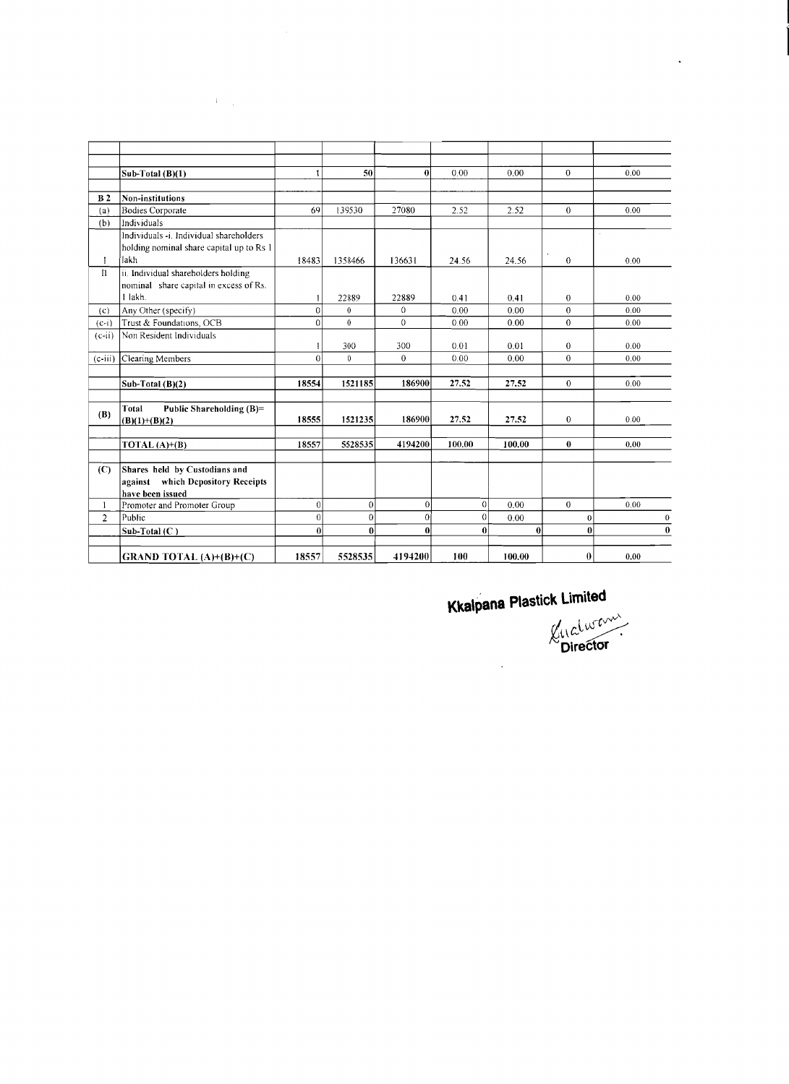|                | $Sub-Total(B)(1)$                                                             | 1            | 50               | $\mathbf 0$  | 0.00         | 0.00         | $\theta$     | 0.00         |
|----------------|-------------------------------------------------------------------------------|--------------|------------------|--------------|--------------|--------------|--------------|--------------|
|                |                                                                               |              |                  |              |              |              |              |              |
| B <sub>2</sub> | Non-institutions                                                              |              |                  |              |              |              |              |              |
| (a)            | <b>Bodies Corporate</b>                                                       | 69           | 139530           | 27080        | 2.52         | 2.52         | $\theta$     | 0.00         |
| (b)            | Individuals                                                                   |              |                  |              |              |              |              |              |
|                | Individuals -i. Individual shareholders                                       |              |                  |              |              |              |              |              |
|                | holding nominal share capital up to Rs 1<br>Jakh                              | 18483        | 1358466          | 136631       | 24.56        | 24.56        | $\mathbf{0}$ | 0.00         |
| $\mathbf{I}$   |                                                                               |              |                  |              |              |              |              |              |
|                | ii. Individual shareholders holding<br>nominal share capital in excess of Rs. |              |                  |              |              |              |              |              |
|                | 1 lakh.                                                                       | 1            | 22889            | 22889        | 0.41         | 0.41         | $\mathbf{0}$ | 0.00         |
| (c)            | Any Other (specify)                                                           | $\mathbf{0}$ | $\boldsymbol{0}$ | $\mathbf{0}$ | 0.00         | 0.00         | $\theta$     | 0.00         |
| $(c-i)$        | Trust & Foundations, OCB                                                      | $\Omega$     | $\theta$         | $\theta$     | 0.00         | 0.00         | $\Omega$     | 0.00         |
| $(c-i)$        | Non Resident Individuals                                                      |              |                  |              |              |              |              |              |
|                |                                                                               |              | 300              | 300          | 0.01         | 0.01         | $\mathbf{0}$ | 0.00         |
| $(c-iii)$      | Clearing Members                                                              | $\theta$     | $\Omega$         | $\theta$     | 0.00         | 0.00         | $\theta$     | 0.00         |
|                |                                                                               |              |                  |              |              |              |              |              |
|                | Sub-Total $(B)(2)$                                                            | 18554        | 1521185          | 186900       | 27.52        | 27.52        | $\theta$     | 0.00         |
|                | Total<br>Public Shareholding (B)=                                             |              |                  |              |              |              |              |              |
| (B)            | $(B)(1)+(B)(2)$                                                               | 18555        | 1521235          | 186900       | 27,52        | 27.52        | $\mathbf{0}$ | 0.00         |
|                |                                                                               |              |                  |              |              |              |              |              |
|                | TOTAL $(A)+(B)$                                                               | 18557        | 5528535          | 4194200      | 100.00       | 100.00       | $\bf{0}$     | 0.00         |
| (C)            | Shares held by Custodians and                                                 |              |                  |              |              |              |              |              |
|                | against which Depository Receipts                                             |              |                  |              |              |              |              |              |
|                | have been issued                                                              |              |                  |              |              |              |              |              |
| -1             | Promoter and Promoter Group                                                   | $\theta$     | $\theta$         | $\mathbf{0}$ | $\Omega$     | 0.00         | $\theta$     | 0.00         |
| $\overline{2}$ | Public                                                                        | $\theta$     | $\mathbf{0}$     | $\mathbf{0}$ | $\Omega$     | 0.00         | $\bf{0}$     | $\mathbf{0}$ |
|                | $Sub-Total (C)$                                                               | $\theta$     | $\bf{0}$         | $\theta$     | $\mathbf{0}$ | $\mathbf{0}$ | $\bf{0}$     | $\mathbf{0}$ |
|                | GRAND TOTAL (A)+(B)+(C)                                                       | 18557        | 5528535          | 4194200      | 100          | 100.00       | $\bf{0}$     | 0.00         |

 $\sim 4\,$   $_{\odot}$   $_{\odot}$ 

Kkalpana Plastick Limited

 $\hat{\mathcal{A}}$ 

Cuclwan

 $\ddot{\phantom{0}}$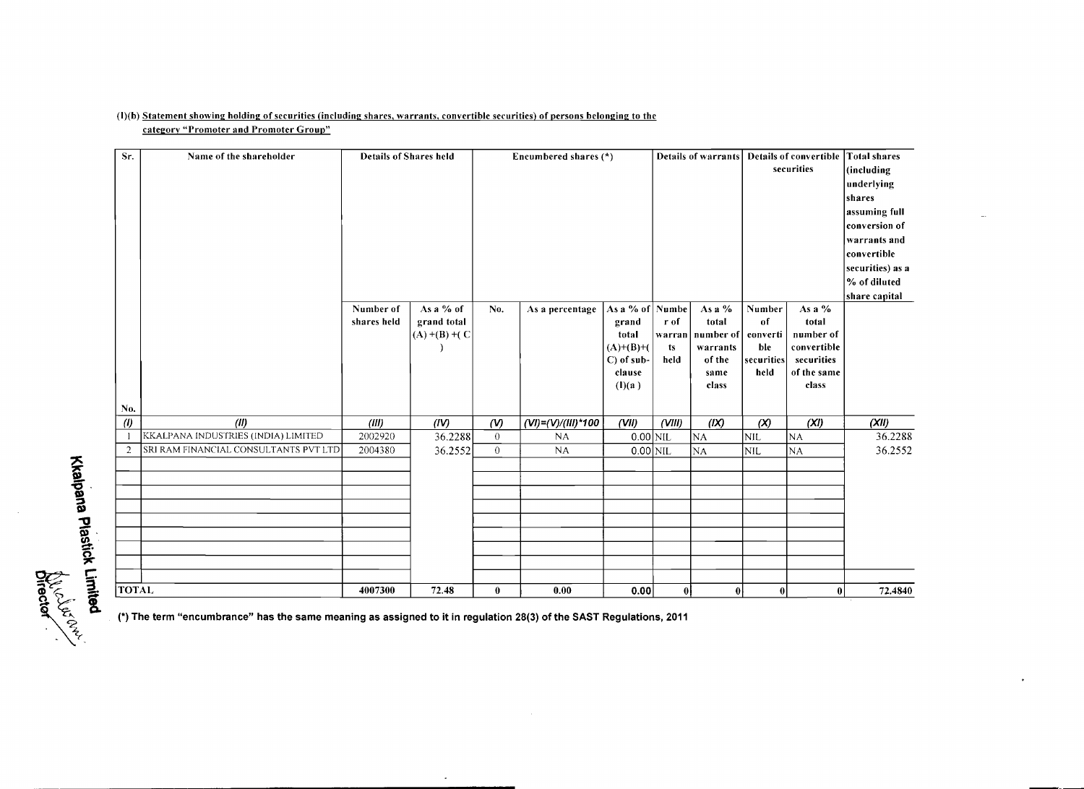| Sr.               | Name of the shareholder               | <b>Details of Shares held</b> |                                              |                | Encumbered shares (*)  |                                                                                      |                              |                                                                     |                                                       | securities                                                                          | Details of warrants Details of convertible Total shares<br>(including<br>underlying<br>shares<br>assuming full<br>conversion of<br>warrants and<br>convertible<br>securities) as a<br>% of diluted<br>share capital |
|-------------------|---------------------------------------|-------------------------------|----------------------------------------------|----------------|------------------------|--------------------------------------------------------------------------------------|------------------------------|---------------------------------------------------------------------|-------------------------------------------------------|-------------------------------------------------------------------------------------|---------------------------------------------------------------------------------------------------------------------------------------------------------------------------------------------------------------------|
| No.               |                                       | Number of<br>shares held      | As a $%$ of<br>grand total<br>$(A)$ +(B) +(C | No.            | As a percentage        | As a % of Numbe<br>grand<br>total<br>$(A)+(B)+(A)$<br>C) of sub-<br>clause<br>(l)(a) | r of<br>warran<br>ts<br>held | As a %<br>total<br>number of<br>warrants<br>of the<br>same<br>class | Number<br>of<br>eonverti<br>ble<br>securities<br>held | As a $%$<br>total<br>number of<br>convertible<br>securities<br>of the same<br>class |                                                                                                                                                                                                                     |
| $\left( l\right)$ | (II)                                  | (III)                         | (IV)                                         | (V)            | $(VI) = (V)/(III)*100$ | (VII)                                                                                | (VIII)                       | (IX)                                                                | (X)                                                   | (XI)                                                                                | (XII)                                                                                                                                                                                                               |
|                   | KKALPANA INDUSTRIES (INDIA) LIMITED   | 2002920                       | 36.2288                                      | $\overline{0}$ | NA                     | $0.00$ NIL                                                                           |                              | NA                                                                  | NIL                                                   | <b>NA</b>                                                                           | 36.2288                                                                                                                                                                                                             |
| 2                 | SRI RAM FINANCIAL CONSULTANTS PVT LTD | 2004380                       | 36.2552                                      | $\overline{0}$ | NA                     | $0.00$ NIL                                                                           |                              | N <sub>A</sub>                                                      | NIL                                                   | NA                                                                                  | 36.2552                                                                                                                                                                                                             |
| <b>TOTAL</b>      |                                       | 4007300                       | 72.48                                        | $\mathbf{0}$   | 0.00                   | 0.00                                                                                 | $\boldsymbol{0}$             | 0                                                                   | $\bf{0}$                                              | $\bf{0}$                                                                            | 72.4840                                                                                                                                                                                                             |

#### (I)(h) Statement showing holding of securities (including shares, warrants, convertible securities) of persons belonging to the category "Promoter and Promoter Group"

(') The term "encumbrance" has the same meaning as assigned to it in regulation **28(3)** of the SAST Regulations, **2011** 

 $\sim$ 

Kkalpana Plastick Limited<br>Kkalpana Plastick Limited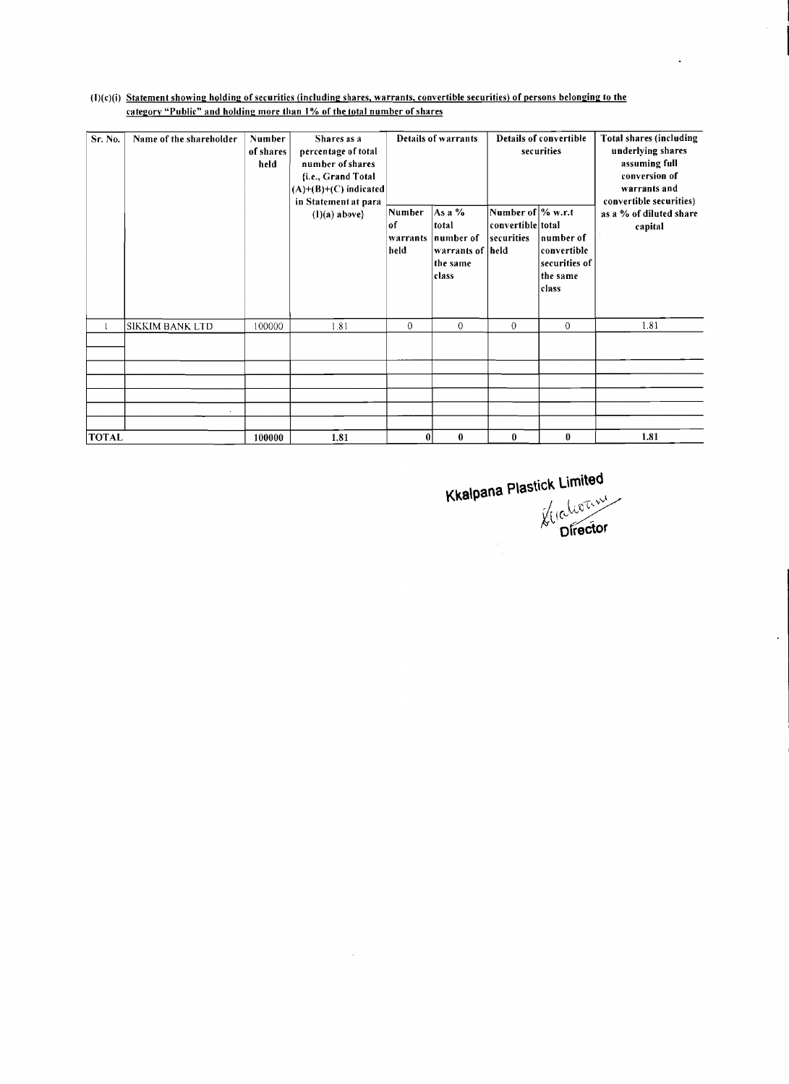### (I)(c)(i) Statement showing holding of securities (including shares, warrants, convertible securities) of persons belonging to the category "Public" and holding more than 1% of the total number of shares

 $\mathcal{A}^{\mathcal{A}}$ 

| Sr. No.      | Name of the shareholder | <b>Number</b><br>of shares<br>held | Shares as a<br>percentage of total<br>number of shares<br>{i.e., Grand Total<br>$(A)+(B)+(C)$ indicated<br>in Statement at para<br>$(l)(a)$ above} | Details of warrants<br>As a %<br>Number<br>'of<br>total<br>number of<br>warrants<br>held<br>warrants of   held<br>the same<br>class |          | <b>Details of convertible</b><br>securities<br>Number of % w.r.t<br>convertible total<br>securities<br>number of<br> convertible=<br>securities of<br>the same<br>class |              | <b>Total shares (including</b><br>underlying shares<br>assuming full<br>conversion of<br>warrants and<br>convertible securities)<br>as a % of diluted share<br>capital |
|--------------|-------------------------|------------------------------------|----------------------------------------------------------------------------------------------------------------------------------------------------|-------------------------------------------------------------------------------------------------------------------------------------|----------|-------------------------------------------------------------------------------------------------------------------------------------------------------------------------|--------------|------------------------------------------------------------------------------------------------------------------------------------------------------------------------|
|              | <b>SIKKIM BANK LTD</b>  | 100000                             | 1.81                                                                                                                                               | $\mathbf{0}$                                                                                                                        | $\theta$ | $\Omega$                                                                                                                                                                | $\mathbf{0}$ | 1.81                                                                                                                                                                   |
|              |                         |                                    |                                                                                                                                                    |                                                                                                                                     |          |                                                                                                                                                                         |              |                                                                                                                                                                        |
|              |                         |                                    |                                                                                                                                                    |                                                                                                                                     |          |                                                                                                                                                                         |              |                                                                                                                                                                        |
|              |                         |                                    |                                                                                                                                                    |                                                                                                                                     |          |                                                                                                                                                                         |              |                                                                                                                                                                        |
|              |                         |                                    |                                                                                                                                                    |                                                                                                                                     |          |                                                                                                                                                                         |              |                                                                                                                                                                        |
| <b>TOTAL</b> |                         | 100000                             | 1.81                                                                                                                                               | $\boldsymbol{0}$                                                                                                                    | $\bf{0}$ | $\bf{0}$                                                                                                                                                                | $\bf{0}$     | 1.81                                                                                                                                                                   |

Kkalpana Plastick Limited<br>Klichterwy<br>Director

 $\ddot{\phantom{a}}$ 

 $\hat{\mathbf{v}}$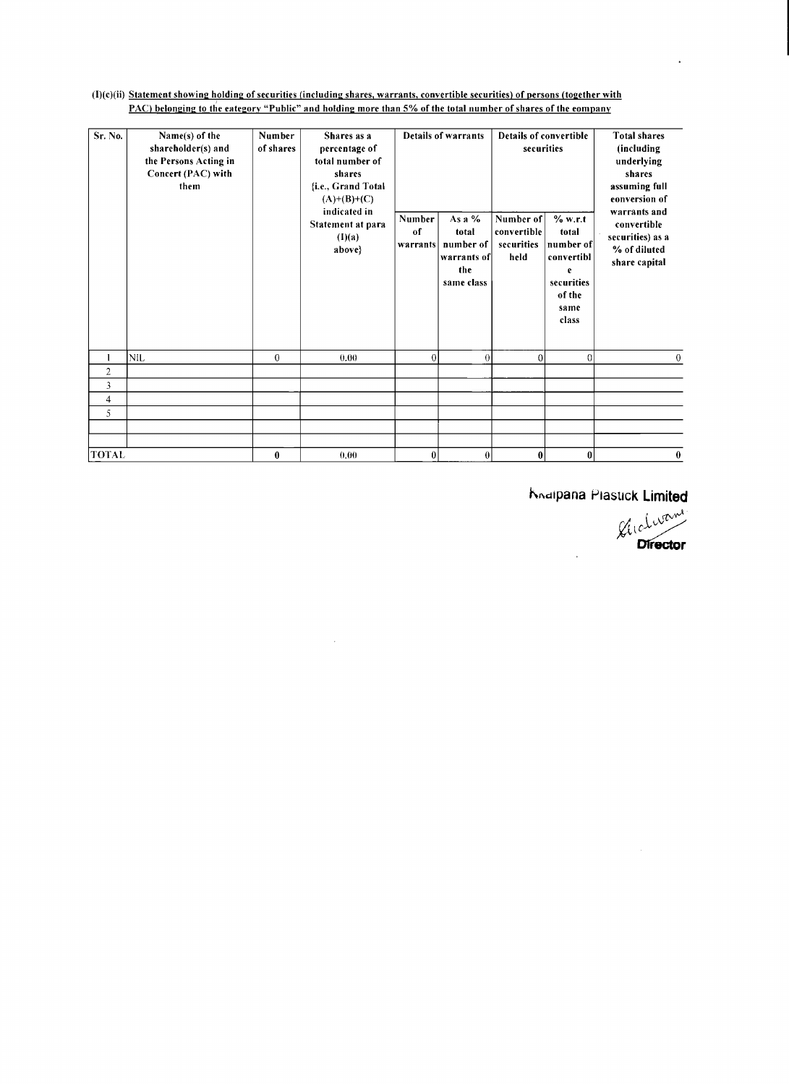| Sr. No.          | Name(s) of the<br>shareholder(s) and<br>the Persons Acting in<br>Concert (PAC) with<br>them | Number<br>of shares | Shares as a<br>percentage of<br>total number of<br>shares<br>{i.e., Grand Total<br>$(A)+(B)+(C)$<br>indicated in<br>Statement at para<br>(I)(a)<br>above} | Number<br>of<br>warrants | <b>Details of warrants</b><br>As a $%$<br>total<br>number of<br>warrants of<br>the<br>same class | Details of convertible<br>securities<br>Number of<br>convertible<br>securities<br>held | % w.r.t<br>total<br>number of<br>convertibl<br>e<br>securities<br>of the<br>same<br>class | <b>Total shares</b><br>(including<br>underlying<br>shares<br>assuming full<br>eonversion of<br>warrants and<br>convertible<br>securities) as a<br>% of diluted<br>share capital |
|------------------|---------------------------------------------------------------------------------------------|---------------------|-----------------------------------------------------------------------------------------------------------------------------------------------------------|--------------------------|--------------------------------------------------------------------------------------------------|----------------------------------------------------------------------------------------|-------------------------------------------------------------------------------------------|---------------------------------------------------------------------------------------------------------------------------------------------------------------------------------|
|                  | <b>NIL</b>                                                                                  | $\mathbf{0}$        | 0.00                                                                                                                                                      | $\theta$                 | $\overline{0}$                                                                                   | $\overline{0}$                                                                         | $\Omega$                                                                                  | $\mathbf{0}$                                                                                                                                                                    |
| $\boldsymbol{2}$ |                                                                                             |                     |                                                                                                                                                           |                          |                                                                                                  |                                                                                        |                                                                                           |                                                                                                                                                                                 |
| 3                |                                                                                             |                     |                                                                                                                                                           |                          |                                                                                                  |                                                                                        |                                                                                           |                                                                                                                                                                                 |
| $\overline{4}$   |                                                                                             |                     |                                                                                                                                                           |                          |                                                                                                  |                                                                                        |                                                                                           |                                                                                                                                                                                 |
| 5                |                                                                                             |                     |                                                                                                                                                           |                          |                                                                                                  |                                                                                        |                                                                                           |                                                                                                                                                                                 |
|                  |                                                                                             |                     |                                                                                                                                                           |                          |                                                                                                  |                                                                                        |                                                                                           |                                                                                                                                                                                 |
|                  |                                                                                             |                     |                                                                                                                                                           |                          |                                                                                                  |                                                                                        |                                                                                           |                                                                                                                                                                                 |
| TOTAL            |                                                                                             | $\bf{0}$            | 0.00                                                                                                                                                      | $\bf{0}$                 | $\bf{0}$                                                                                         | $\bf{0}$                                                                               | $\bf{0}$                                                                                  | $\bf{0}$                                                                                                                                                                        |

 $\ddot{\phantom{a}}$ 

# $(1)(c)(ii)$  Statement showing holding of securities (including shares, warrants, convertible securities) of persons (together with PAC) belonging to the eategory "Public" and holding more than 5% of the total number of shar

Kivalpana Plastick Limited

 $\ddot{\phantom{0}}$ 

Gichwam **Director** 

 $\mathcal{L}^{\mathcal{L}}$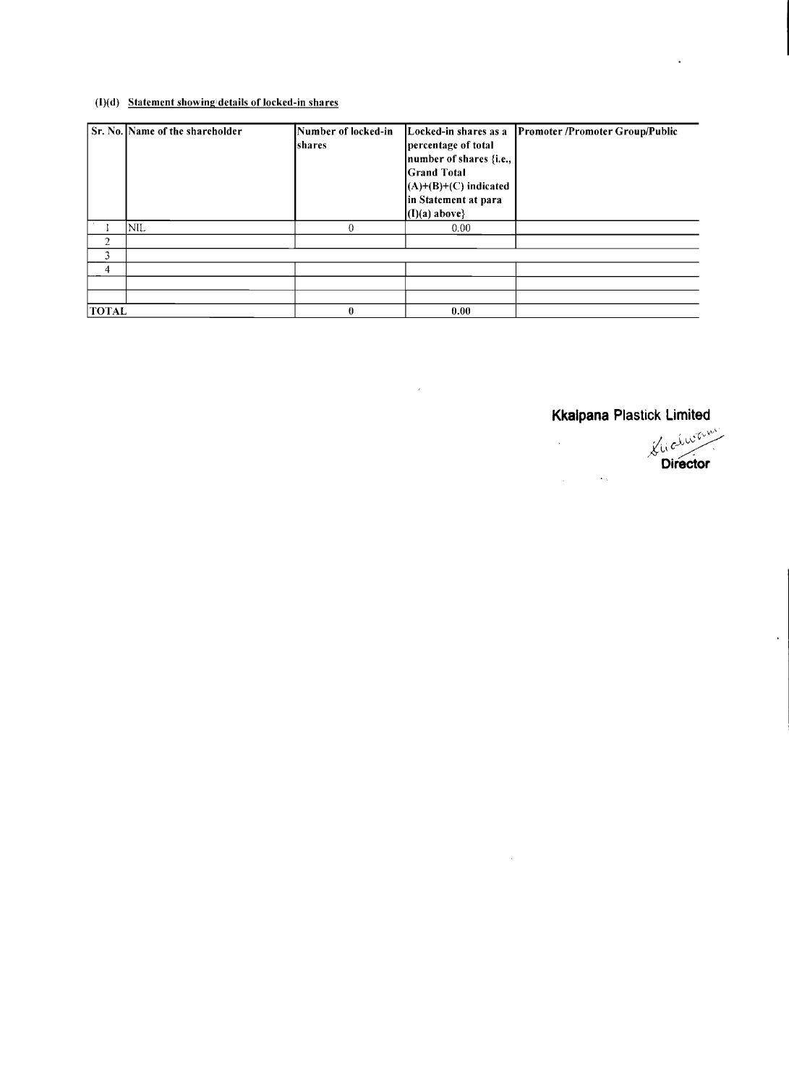### (I)(d) Statement showing details of locked-in shares

|                | Sr. No. Name of the shareholder | Number of locked-in | Locked-in shares as a   | <b>Promoter /Promoter Group/Public</b> |
|----------------|---------------------------------|---------------------|-------------------------|----------------------------------------|
|                |                                 | Ishares             | percentage of total     |                                        |
|                |                                 |                     | number of shares {i.e., |                                        |
|                |                                 |                     | <b>Grand Total</b>      |                                        |
|                |                                 |                     | $(A)+(B)+(C)$ indicated |                                        |
|                |                                 |                     | in Statement at para    |                                        |
|                |                                 |                     | $(I)(a)$ above}         |                                        |
|                | NIL                             | $\theta$            | 0.00                    |                                        |
| $\overline{2}$ |                                 |                     |                         |                                        |
| 3              |                                 |                     |                         |                                        |
| 4              |                                 |                     |                         |                                        |
|                |                                 |                     |                         |                                        |
|                |                                 |                     |                         |                                        |
| <b>TOTAL</b>   |                                 | $\boldsymbol{0}$    | 0.00                    |                                        |

 $\mathcal{A}^{\mathcal{A}}$ 

# **Kkaipana Plastick Limited**

Elichusen

 $\hat{\mathbf{v}}$ 

l.

 $\Delta \phi = 0.000$ 

 $\mathcal{L}^{(1)}$ 

 $\sim 10^{-1}$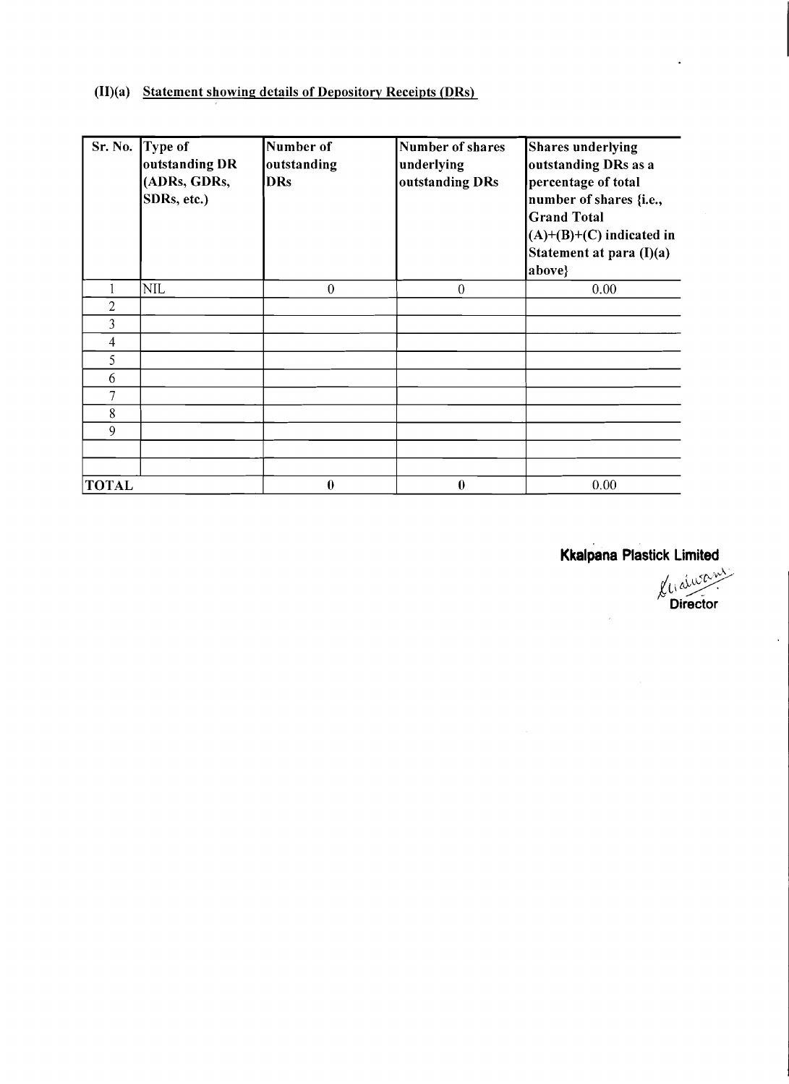## **(II)(a)** Statement showing details of Depository Receipts (DRs)

|              | Sr. No. Type of<br>outstanding DR<br>(ADRs, GDRs,<br>SDRs, etc.) | Number of<br>outstanding<br>DRs | Number of shares<br>underlying<br>outstanding DRs | Shares underlying<br>outstanding DRs as a<br>percentage of total<br>number of shares {i.e.,<br><b>Grand Total</b><br>$(A)+(B)+(C)$ indicated in<br>Statement at para (I)(a)<br>above} |
|--------------|------------------------------------------------------------------|---------------------------------|---------------------------------------------------|---------------------------------------------------------------------------------------------------------------------------------------------------------------------------------------|
|              | <b>NIL</b>                                                       | $\overline{0}$                  | $\overline{0}$                                    | 0.00                                                                                                                                                                                  |
| $\mathbf{2}$ |                                                                  |                                 |                                                   |                                                                                                                                                                                       |
| 3            |                                                                  |                                 |                                                   |                                                                                                                                                                                       |
| 4            |                                                                  |                                 |                                                   |                                                                                                                                                                                       |
| 5            |                                                                  |                                 |                                                   |                                                                                                                                                                                       |
| 6            |                                                                  |                                 |                                                   |                                                                                                                                                                                       |
| 7            |                                                                  |                                 |                                                   |                                                                                                                                                                                       |
| 8            |                                                                  |                                 |                                                   |                                                                                                                                                                                       |
| 9            |                                                                  |                                 |                                                   |                                                                                                                                                                                       |
|              |                                                                  |                                 |                                                   |                                                                                                                                                                                       |
|              |                                                                  |                                 |                                                   |                                                                                                                                                                                       |
| <b>TOTAL</b> |                                                                  | $\boldsymbol{0}$                | $\bf{0}$                                          | 0.00                                                                                                                                                                                  |

**Kkalpana Plastick Limited** 

**ck Limited**<br> *L*<br> *L*<br>
Director

 $\hat{\mathcal{A}}$